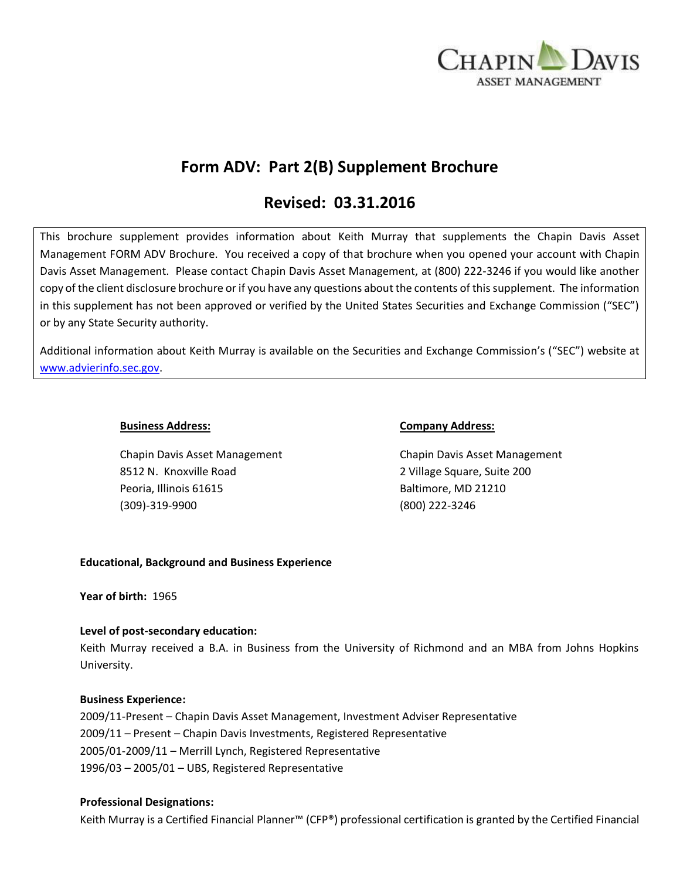

# **Form ADV: Part 2(B) Supplement Brochure**

# **Revised: 03.31.2016**

This brochure supplement provides information about Keith Murray that supplements the Chapin Davis Asset Management FORM ADV Brochure. You received a copy of that brochure when you opened your account with Chapin Davis Asset Management. Please contact Chapin Davis Asset Management, at (800) 222-3246 if you would like another copy of the client disclosure brochure or if you have any questions about the contents of this supplement. The information in this supplement has not been approved or verified by the United States Securities and Exchange Commission ("SEC") or by any State Security authority.

Additional information about Keith Murray is available on the Securities and Exchange Commission's ("SEC") website at [www.advierinfo.sec.gov.](http://www.advierinfo.sec.gov/)

Chapin Davis Asset Management Chapin Davis Asset Management 8512 N. Knoxville Road 2 Village Square, Suite 200 Peoria, Illinois 61615 Baltimore, MD 21210 (309)-319-9900 (800) 222-3246

### **Business Address: Company Address:**

## **Educational, Background and Business Experience**

**Year of birth:** 1965

## **Level of post-secondary education:**

Keith Murray received a B.A. in Business from the University of Richmond and an MBA from Johns Hopkins University.

#### **Business Experience:**

2009/11-Present – Chapin Davis Asset Management, Investment Adviser Representative 2009/11 – Present – Chapin Davis Investments, Registered Representative 2005/01-2009/11 – Merrill Lynch, Registered Representative 1996/03 – 2005/01 – UBS, Registered Representative

#### **Professional Designations:**

Keith Murray is a Certified Financial Planner™ (CFP®) professional certification is granted by the Certified Financial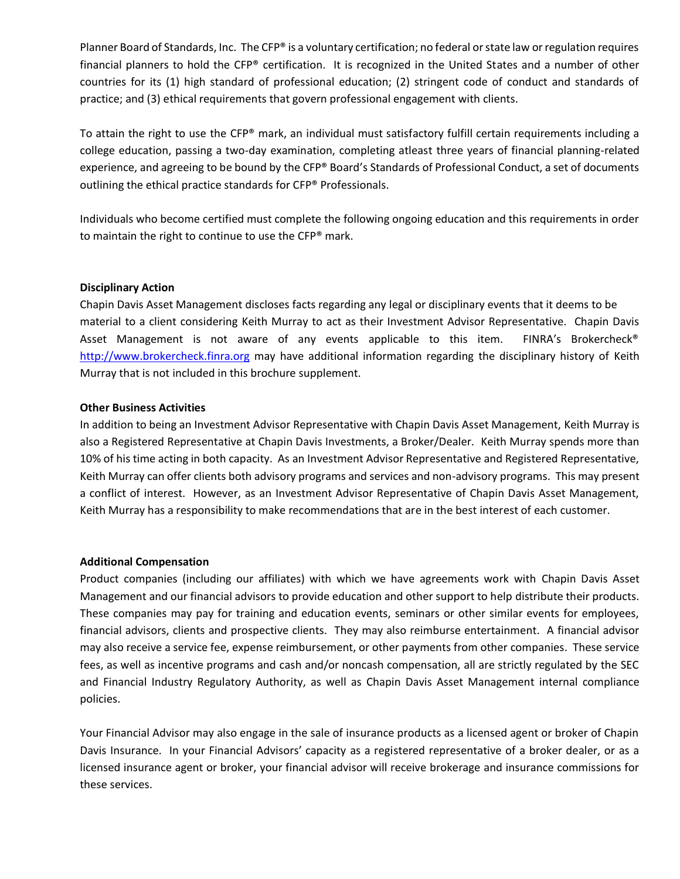Planner Board of Standards, Inc. The CFP® is a voluntary certification; no federal or state law or regulation requires financial planners to hold the CFP® certification. It is recognized in the United States and a number of other countries for its (1) high standard of professional education; (2) stringent code of conduct and standards of practice; and (3) ethical requirements that govern professional engagement with clients.

To attain the right to use the CFP® mark, an individual must satisfactory fulfill certain requirements including a college education, passing a two-day examination, completing atleast three years of financial planning-related experience, and agreeing to be bound by the CFP® Board's Standards of Professional Conduct, a set of documents outlining the ethical practice standards for CFP® Professionals.

Individuals who become certified must complete the following ongoing education and this requirements in order to maintain the right to continue to use the CFP® mark.

### **Disciplinary Action**

Chapin Davis Asset Management discloses facts regarding any legal or disciplinary events that it deems to be material to a client considering Keith Murray to act as their Investment Advisor Representative. Chapin Davis Asset Management is not aware of any events applicable to this item. FINRA's Brokercheck® [http://www.brokercheck.finra.org](http://www.brokercheck.finra.org/) may have additional information regarding the disciplinary history of Keith Murray that is not included in this brochure supplement.

### **Other Business Activities**

In addition to being an Investment Advisor Representative with Chapin Davis Asset Management, Keith Murray is also a Registered Representative at Chapin Davis Investments, a Broker/Dealer. Keith Murray spends more than 10% of his time acting in both capacity. As an Investment Advisor Representative and Registered Representative, Keith Murray can offer clients both advisory programs and services and non-advisory programs. This may present a conflict of interest. However, as an Investment Advisor Representative of Chapin Davis Asset Management, Keith Murray has a responsibility to make recommendations that are in the best interest of each customer.

#### **Additional Compensation**

Product companies (including our affiliates) with which we have agreements work with Chapin Davis Asset Management and our financial advisors to provide education and other support to help distribute their products. These companies may pay for training and education events, seminars or other similar events for employees, financial advisors, clients and prospective clients. They may also reimburse entertainment. A financial advisor may also receive a service fee, expense reimbursement, or other payments from other companies. These service fees, as well as incentive programs and cash and/or noncash compensation, all are strictly regulated by the SEC and Financial Industry Regulatory Authority, as well as Chapin Davis Asset Management internal compliance policies.

Your Financial Advisor may also engage in the sale of insurance products as a licensed agent or broker of Chapin Davis Insurance. In your Financial Advisors' capacity as a registered representative of a broker dealer, or as a licensed insurance agent or broker, your financial advisor will receive brokerage and insurance commissions for these services.